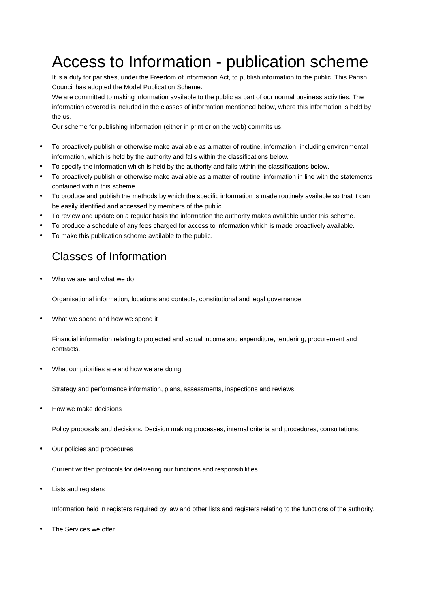# Access to Information - publication scheme

It is a duty for parishes, under the Freedom of Information Act, to publish information to the public. This Parish Council has adopted the Model Publication Scheme.

We are committed to making information available to the public as part of our normal business activities. The information covered is included in the classes of information mentioned below, where this information is held by the us.

Our scheme for publishing information (either in print or on the web) commits us:

- To proactively publish or otherwise make available as a matter of routine, information, including environmental information, which is held by the authority and falls within the classifications below.
- To specify the information which is held by the authority and falls within the classifications below.
- To proactively publish or otherwise make available as a matter of routine, information in line with the statements contained within this scheme.
- To produce and publish the methods by which the specific information is made routinely available so that it can be easily identified and accessed by members of the public.
- To review and update on a regular basis the information the authority makes available under this scheme.
- To produce a schedule of any fees charged for access to information which is made proactively available.
- To make this publication scheme available to the public.

### Classes of Information

Who we are and what we do

Organisational information, locations and contacts, constitutional and legal governance.

What we spend and how we spend it

Financial information relating to projected and actual income and expenditure, tendering, procurement and contracts.

What our priorities are and how we are doing

Strategy and performance information, plans, assessments, inspections and reviews.

How we make decisions

Policy proposals and decisions. Decision making processes, internal criteria and procedures, consultations.

Our policies and procedures

Current written protocols for delivering our functions and responsibilities.

Lists and registers

Information held in registers required by law and other lists and registers relating to the functions of the authority.

The Services we offer